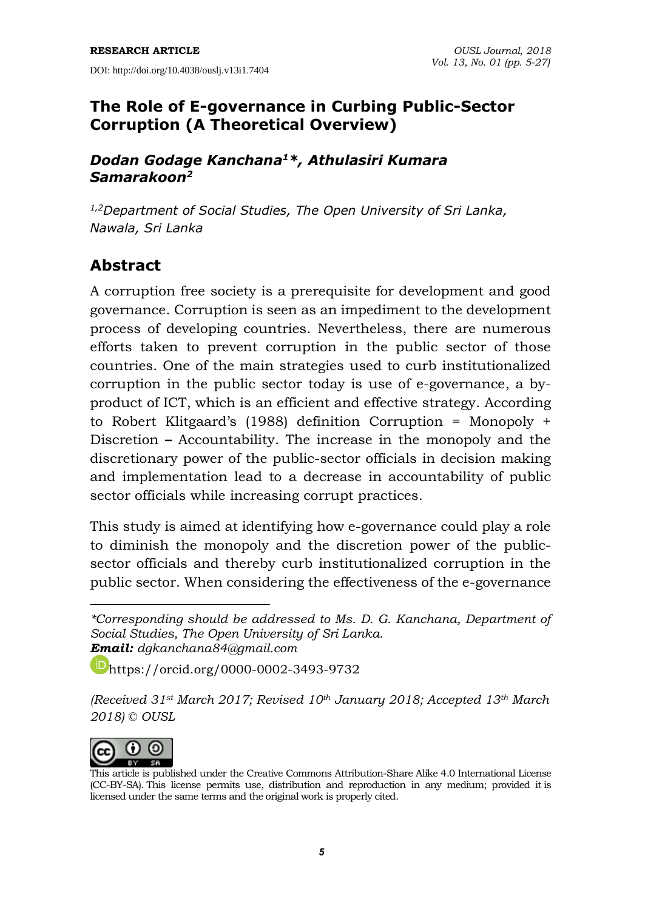### **The Role of E-governance in Curbing Public-Sector Corruption (A Theoretical Overview)**

#### *Dodan Godage Kanchana<sup>1</sup>\*, Athulasiri Kumara Samarakoon<sup>2</sup>*

*1,2Department of Social Studies, The Open University of Sri Lanka, Nawala, Sri Lanka*

# **Abstract**

A corruption free society is a prerequisite for development and good governance. Corruption is seen as an impediment to the development process of developing countries. Nevertheless, there are numerous efforts taken to prevent corruption in the public sector of those countries. One of the main strategies used to curb institutionalized corruption in the public sector today is use of e-governance, a byproduct of ICT, which is an efficient and effective strategy. According to Robert Klitgaard's (1988) definition Corruption = Monopoly + Discretion **–** Accountability. The increase in the monopoly and the discretionary power of the public-sector officials in decision making and implementation lead to a decrease in accountability of public sector officials while increasing corrupt practices.

This study is aimed at identifying how e-governance could play a role to diminish the monopoly and the discretion power of the publicsector officials and thereby curb institutionalized corruption in the public sector. When considering the effectiveness of the e-governance

<https://orcid.org/0000-0002-3493-9732>

*<sup>(</sup>Received 31st March 2017; Revised 10th January 2018; Accepted 13th March 2018) © OUSL*



-

*<sup>\*</sup>Corresponding should be addressed to Ms. D. G. Kanchana, Department of Social Studies, The Open University of Sri Lanka. Email: [dgkanchana84@gmail.com](mailto:dgkanchana84@gmail.com)*

This article is published under the Creative Commons [Attribution-Share](http://creativecommons.org/licenses/by-sa/4.0/) Alike 4.0 International License (CC-BY-SA). This license permits use, distribution and reproduction in any medium; provided it is licensed under the same terms and the original work is properly cited.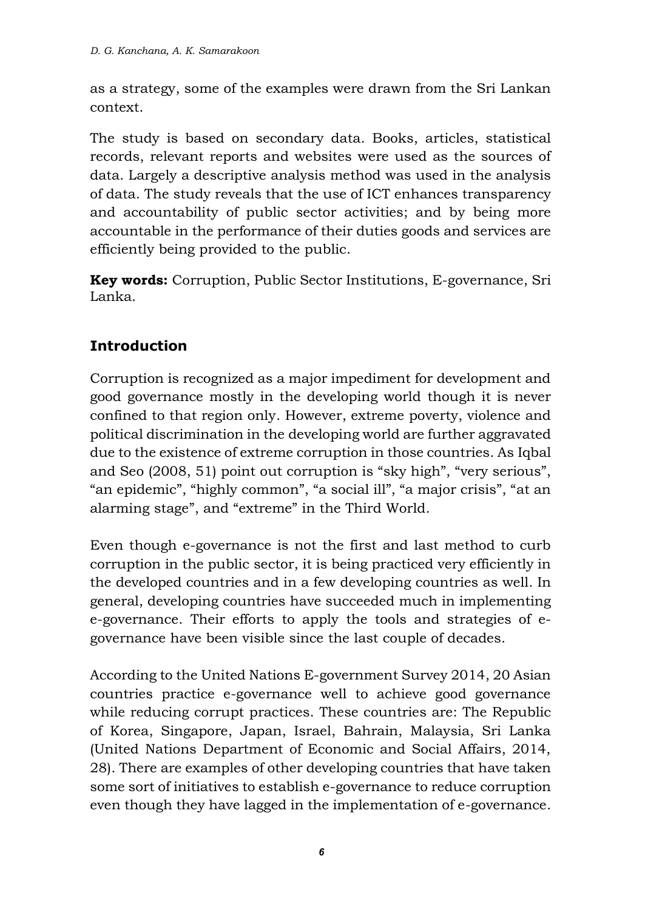as a strategy, some of the examples were drawn from the Sri Lankan context.

The study is based on secondary data. Books, articles, statistical records, relevant reports and websites were used as the sources of data. Largely a descriptive analysis method was used in the analysis of data. The study reveals that the use of ICT enhances transparency and accountability of public sector activities; and by being more accountable in the performance of their duties goods and services are efficiently being provided to the public.

**Key words:** Corruption, Public Sector Institutions, E-governance, Sri Lanka.

## **Introduction**

Corruption is recognized as a major impediment for development and good governance mostly in the developing world though it is never confined to that region only. However, extreme poverty, violence and political discrimination in the developing world are further aggravated due to the existence of extreme corruption in those countries. As Iqbal and Seo (2008, 51) point out corruption is "sky high", "very serious", "an epidemic", "highly common", "a social ill", "a major crisis", "at an alarming stage", and "extreme" in the Third World.

Even though e-governance is not the first and last method to curb corruption in the public sector, it is being practiced very efficiently in the developed countries and in a few developing countries as well. In general, developing countries have succeeded much in implementing e-governance. Their efforts to apply the tools and strategies of egovernance have been visible since the last couple of decades.

According to the United Nations E-government Survey 2014, 20 Asian countries practice e-governance well to achieve good governance while reducing corrupt practices. These countries are: The Republic of Korea, Singapore, Japan, Israel, Bahrain, Malaysia, Sri Lanka (United Nations Department of Economic and Social Affairs, 2014, 28). There are examples of other developing countries that have taken some sort of initiatives to establish e-governance to reduce corruption even though they have lagged in the implementation of e-governance.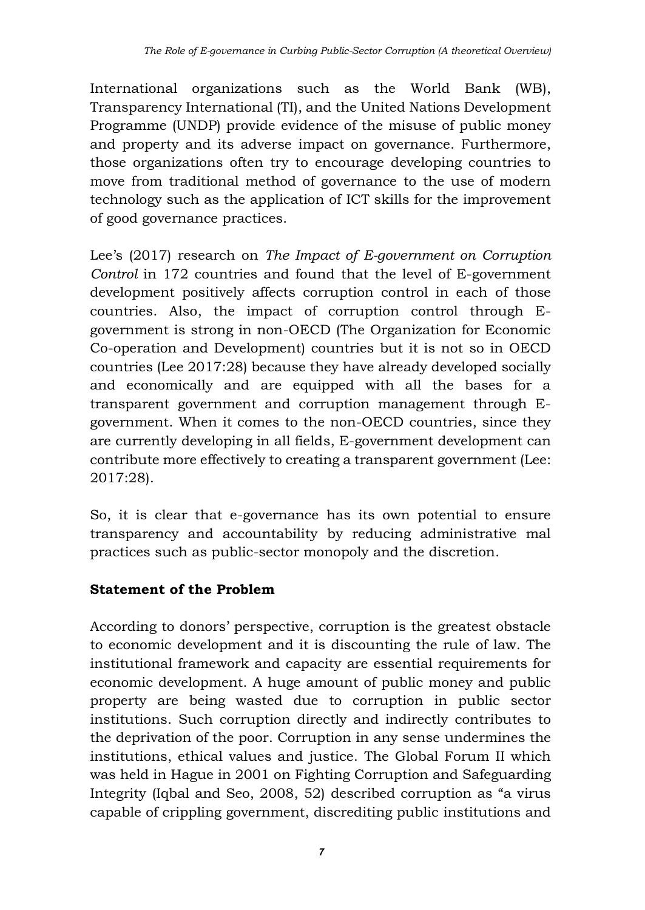International organizations such as the World Bank (WB), Transparency International (TI), and the United Nations Development Programme (UNDP) provide evidence of the misuse of public money and property and its adverse impact on governance. Furthermore, those organizations often try to encourage developing countries to move from traditional method of governance to the use of modern technology such as the application of ICT skills for the improvement of good governance practices.

Lee's (2017) research on *The Impact of E-government on Corruption Control* in 172 countries and found that the level of E-government development positively affects corruption control in each of those countries. Also, the impact of corruption control through Egovernment is strong in non-OECD (The Organization for Economic Co-operation and Development) countries but it is not so in OECD countries (Lee 2017:28) because they have already developed socially and economically and are equipped with all the bases for a transparent government and corruption management through Egovernment. When it comes to the non-OECD countries, since they are currently developing in all fields, E-government development can contribute more effectively to creating a transparent government (Lee: 2017:28).

So, it is clear that e-governance has its own potential to ensure transparency and accountability by reducing administrative mal practices such as public-sector monopoly and the discretion.

#### **Statement of the Problem**

According to donors' perspective, corruption is the greatest obstacle to economic development and it is discounting the rule of law. The institutional framework and capacity are essential requirements for economic development. A huge amount of public money and public property are being wasted due to corruption in public sector institutions. Such corruption directly and indirectly contributes to the deprivation of the poor. Corruption in any sense undermines the institutions, ethical values and justice. The Global Forum II which was held in Hague in 2001 on Fighting Corruption and Safeguarding Integrity (Iqbal and Seo, 2008, 52) described corruption as "a virus capable of crippling government, discrediting public institutions and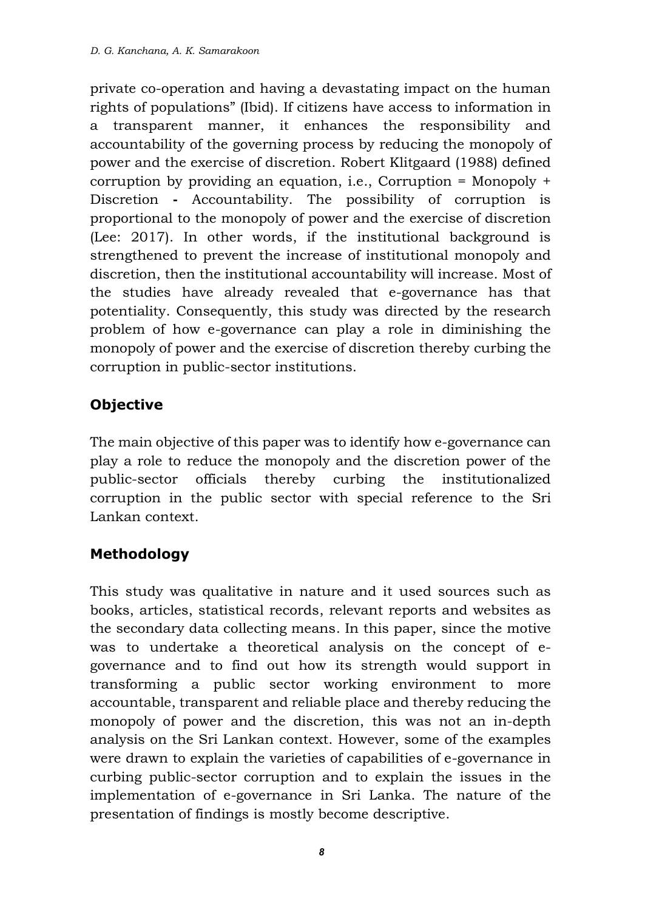private co-operation and having a devastating impact on the human rights of populations" (Ibid). If citizens have access to information in a transparent manner, it enhances the responsibility and accountability of the governing process by reducing the monopoly of power and the exercise of discretion. Robert Klitgaard (1988) defined corruption by providing an equation, i.e., Corruption = Monopoly + Discretion **-** Accountability. The possibility of corruption is proportional to the monopoly of power and the exercise of discretion (Lee: 2017). In other words, if the institutional background is strengthened to prevent the increase of institutional monopoly and discretion, then the institutional accountability will increase. Most of the studies have already revealed that e-governance has that potentiality. Consequently, this study was directed by the research problem of how e-governance can play a role in diminishing the monopoly of power and the exercise of discretion thereby curbing the corruption in public-sector institutions.

## **Objective**

The main objective of this paper was to identify how e-governance can play a role to reduce the monopoly and the discretion power of the public-sector officials thereby curbing the institutionalized corruption in the public sector with special reference to the Sri Lankan context.

## **Methodology**

This study was qualitative in nature and it used sources such as books, articles, statistical records, relevant reports and websites as the secondary data collecting means. In this paper, since the motive was to undertake a theoretical analysis on the concept of egovernance and to find out how its strength would support in transforming a public sector working environment to more accountable, transparent and reliable place and thereby reducing the monopoly of power and the discretion, this was not an in-depth analysis on the Sri Lankan context. However, some of the examples were drawn to explain the varieties of capabilities of e-governance in curbing public-sector corruption and to explain the issues in the implementation of e-governance in Sri Lanka. The nature of the presentation of findings is mostly become descriptive.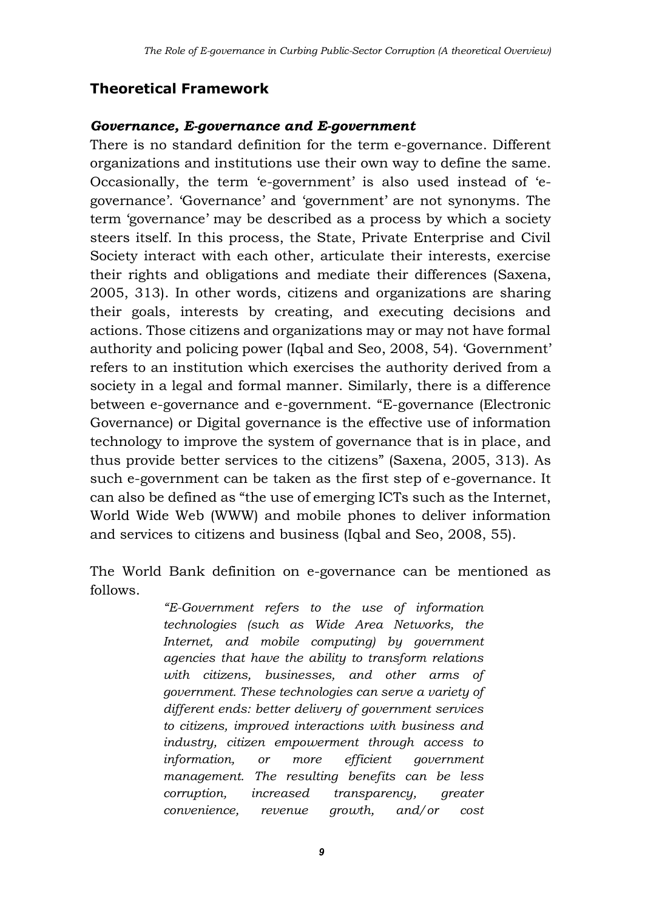### **Theoretical Framework**

#### *Governance, E-governance and E-government*

There is no standard definition for the term e-governance. Different organizations and institutions use their own way to define the same. Occasionally, the term 'e-government' is also used instead of 'egovernance'. 'Governance' and 'government' are not synonyms. The term 'governance' may be described as a process by which a society steers itself. In this process, the State, Private Enterprise and Civil Society interact with each other, articulate their interests, exercise their rights and obligations and mediate their differences (Saxena, 2005, 313). In other words, citizens and organizations are sharing their goals, interests by creating, and executing decisions and actions. Those citizens and organizations may or may not have formal authority and policing power (Iqbal and Seo, 2008, 54). 'Government' refers to an institution which exercises the authority derived from a society in a legal and formal manner. Similarly, there is a difference between e-governance and e-government. "E-governance (Electronic Governance) or Digital governance is the effective use of information technology to improve the system of governance that is in place, and thus provide better services to the citizens" (Saxena, 2005, 313). As such e-government can be taken as the first step of e-governance. It can also be defined as "the use of emerging ICTs such as the Internet, World Wide Web (WWW) and mobile phones to deliver information and services to citizens and business (Iqbal and Seo, 2008, 55).

The World Bank definition on e-governance can be mentioned as follows.

> *"E-Government refers to the use of information technologies (such as Wide Area Networks, the Internet, and mobile computing) by government agencies that have the ability to transform relations with citizens, businesses, and other arms of government. These technologies can serve a variety of different ends: better delivery of government services to citizens, improved interactions with business and industry, citizen empowerment through access to information, or more efficient government management. The resulting benefits can be less corruption, increased transparency, greater convenience, revenue growth, and/or cost*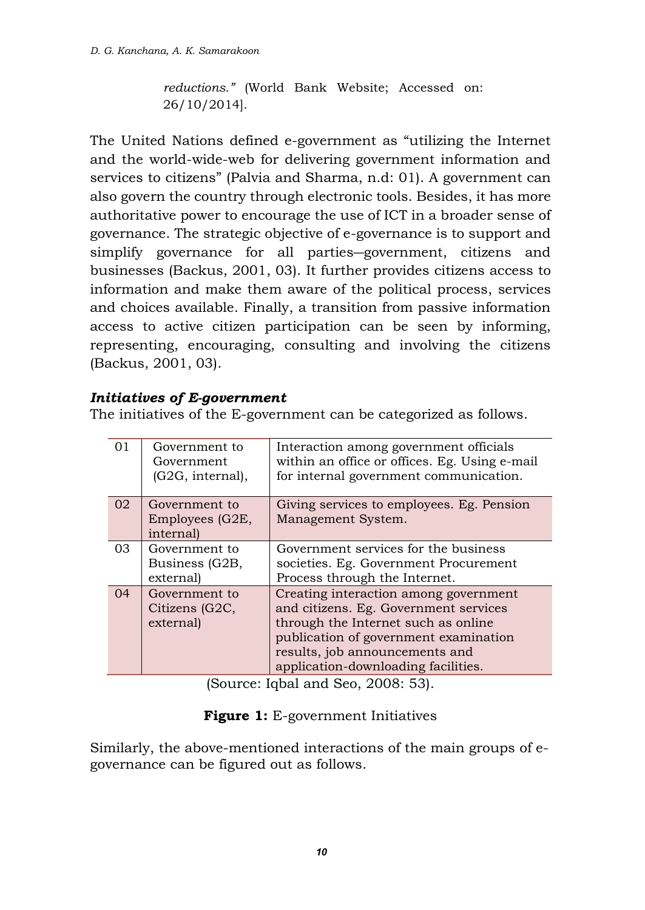*reductions."* (World Bank Website; Accessed on: 26/10/2014].

The United Nations defined e-government as "utilizing the Internet and the world-wide-web for delivering government information and services to citizens" (Palvia and Sharma, n.d: 01). A government can also govern the country through electronic tools. Besides, it has more authoritative power to encourage the use of ICT in a broader sense of governance. The strategic objective of e-governance is to support and simplify governance for all parties―government, citizens and businesses (Backus, 2001, 03). It further provides citizens access to information and make them aware of the political process, services and choices available. Finally, a transition from passive information access to active citizen participation can be seen by informing, representing, encouraging, consulting and involving the citizens (Backus, 2001, 03).

#### *Initiatives of E-government*

The initiatives of the E-government can be categorized as follows.

| 0 <sub>1</sub><br>Government to<br>Interaction among government officials<br>within an office or offices. Eg. Using e-mail<br>Government<br>(G2G, internal),<br>for internal government communication.<br>02<br>Giving services to employees. Eg. Pension<br>Government to<br>Management System.<br>Employees (G2E, |           |  |
|---------------------------------------------------------------------------------------------------------------------------------------------------------------------------------------------------------------------------------------------------------------------------------------------------------------------|-----------|--|
|                                                                                                                                                                                                                                                                                                                     |           |  |
|                                                                                                                                                                                                                                                                                                                     |           |  |
|                                                                                                                                                                                                                                                                                                                     |           |  |
|                                                                                                                                                                                                                                                                                                                     | internal) |  |
| Government services for the business<br>03<br>Government to                                                                                                                                                                                                                                                         |           |  |
| societies. Eg. Government Procurement<br>Business (G2B,                                                                                                                                                                                                                                                             |           |  |
| Process through the Internet.<br>external)                                                                                                                                                                                                                                                                          |           |  |
| Creating interaction among government<br>04<br>Government to                                                                                                                                                                                                                                                        |           |  |
| Citizens (G2C,<br>and citizens. Eg. Government services                                                                                                                                                                                                                                                             |           |  |
| through the Internet such as online<br>external)                                                                                                                                                                                                                                                                    |           |  |
| publication of government examination                                                                                                                                                                                                                                                                               |           |  |
| results, job announcements and                                                                                                                                                                                                                                                                                      |           |  |
| application-downloading facilities.                                                                                                                                                                                                                                                                                 |           |  |

(Source: Iqbal and Seo, 2008: 53).

#### **Figure 1:** E-government Initiatives

Similarly, the above-mentioned interactions of the main groups of egovernance can be figured out as follows.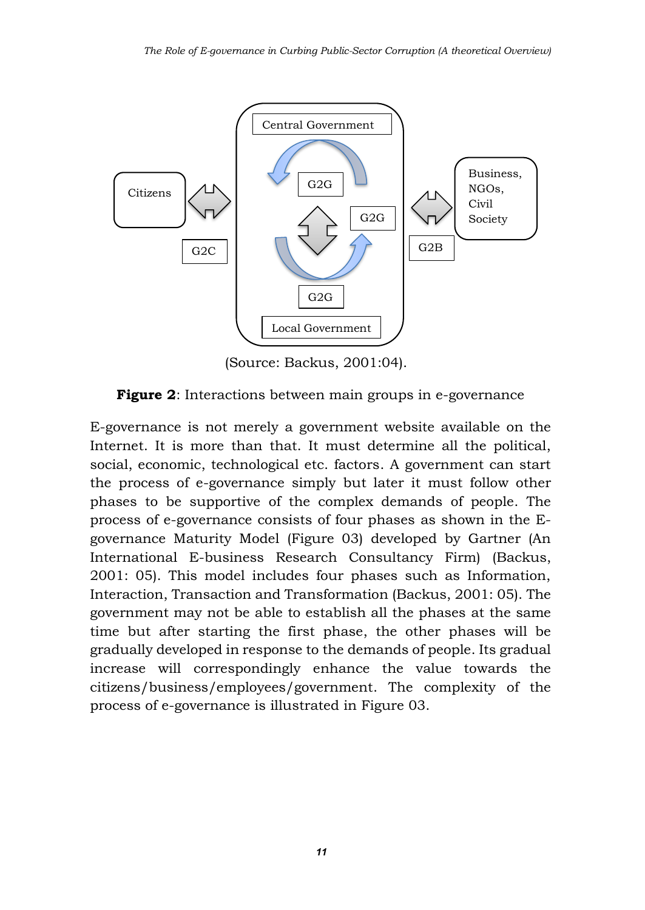

(Source: Backus, 2001:04).

**Figure 2**: Interactions between main groups in e-governance

E-governance is not merely a government website available on the Internet. It is more than that. It must determine all the political, social, economic, technological etc. factors. A government can start the process of e-governance simply but later it must follow other phases to be supportive of the complex demands of people. The process of e-governance consists of four phases as shown in the Egovernance Maturity Model (Figure 03) developed by Gartner (An International E-business Research Consultancy Firm) (Backus, 2001: 05). This model includes four phases such as Information, Interaction, Transaction and Transformation (Backus, 2001: 05). The government may not be able to establish all the phases at the same time but after starting the first phase, the other phases will be gradually developed in response to the demands of people. Its gradual increase will correspondingly enhance the value towards the citizens/business/employees/government. The complexity of the process of e-governance is illustrated in Figure 03.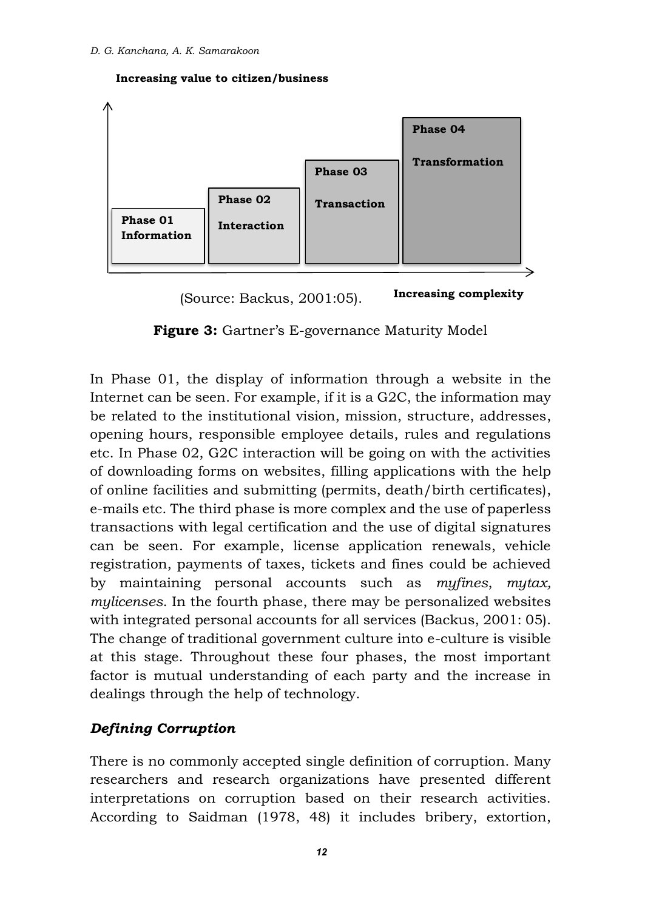



**Increasing complexity** (Source: Backus, 2001:05).

**Figure 3:** Gartner's E-governance Maturity Model

In Phase 01, the display of information through a website in the Internet can be seen. For example, if it is a G2C, the information may be related to the institutional vision, mission, structure, addresses, opening hours, responsible employee details, rules and regulations etc. In Phase 02, G2C interaction will be going on with the activities of downloading forms on websites, filling applications with the help of online facilities and submitting (permits, death/birth certificates), e-mails etc. The third phase is more complex and the use of paperless transactions with legal certification and the use of digital signatures can be seen. For example, license application renewals, vehicle registration, payments of taxes, tickets and fines could be achieved by maintaining personal accounts such as *myfines*, *mytax, mylicenses*. In the fourth phase, there may be personalized websites with integrated personal accounts for all services (Backus, 2001: 05). The change of traditional government culture into e-culture is visible at this stage. Throughout these four phases, the most important factor is mutual understanding of each party and the increase in dealings through the help of technology.

#### *Defining Corruption*

There is no commonly accepted single definition of corruption. Many researchers and research organizations have presented different interpretations on corruption based on their research activities. According to Saidman (1978, 48) it includes bribery, extortion,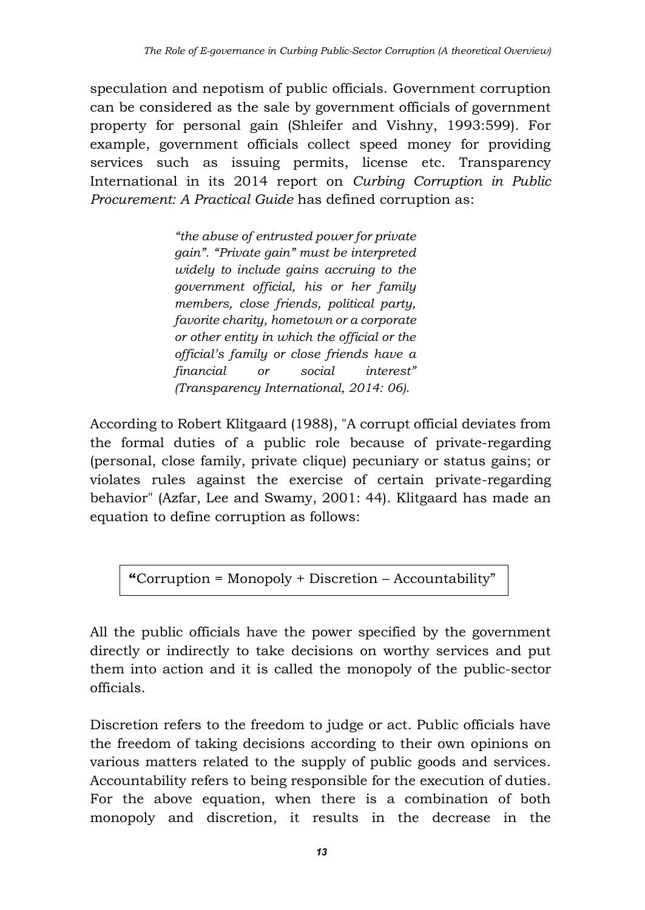speculation and nepotism of public officials. Government corruption can be considered as the sale by government officials of government property for personal gain (Shleifer and Vishny, 1993:599). For example, government officials collect speed money for providing services such as issuing permits, license etc. Transparency International in its 2014 report on *Curbing Corruption in Public Procurement: A Practical Guide* has defined corruption as:

> *"the abuse of entrusted power for private gain". "Private gain" must be interpreted widely to include gains accruing to the government official, his or her family members, close friends, political party, favorite charity, hometown or a corporate or other entity in which the official or the official's family or close friends have a financial or social interest" (Transparency International, 2014: 06).*

According to Robert Klitgaard (1988), "A corrupt official deviates from the formal duties of a public role because of private-regarding (personal, close family, private clique) pecuniary or status gains; or violates rules against the exercise of certain private-regarding behavior" (Azfar, Lee and Swamy, 2001: 44). Klitgaard has made an equation to define corruption as follows:

**"**Corruption = Monopoly + Discretion – Accountability"

All the public officials have the power specified by the government directly or indirectly to take decisions on worthy services and put them into action and it is called the monopoly of the public-sector officials.

Discretion refers to the freedom to judge or act. Public officials have the freedom of taking decisions according to their own opinions on various matters related to the supply of public goods and services. Accountability refers to being responsible for the execution of duties. For the above equation, when there is a combination of both monopoly and discretion, it results in the decrease in the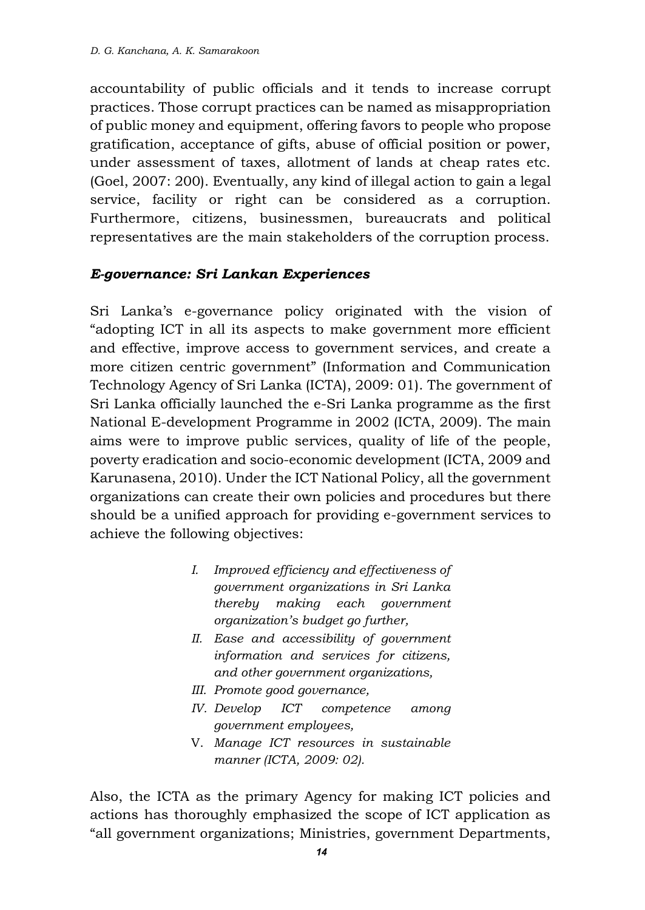accountability of public officials and it tends to increase corrupt practices. Those corrupt practices can be named as misappropriation of public money and equipment, offering favors to people who propose gratification, acceptance of gifts, abuse of official position or power, under assessment of taxes, allotment of lands at cheap rates etc. (Goel, 2007: 200). Eventually, any kind of illegal action to gain a legal service, facility or right can be considered as a corruption. Furthermore, citizens, businessmen, bureaucrats and political representatives are the main stakeholders of the corruption process.

#### *E-governance: Sri Lankan Experiences*

Sri Lanka's e-governance policy originated with the vision of "adopting ICT in all its aspects to make government more efficient and effective, improve access to government services, and create a more citizen centric government" (Information and Communication Technology Agency of Sri Lanka (ICTA), 2009: 01). The government of Sri Lanka officially launched the e-Sri Lanka programme as the first National E-development Programme in 2002 (ICTA, 2009). The main aims were to improve public services, quality of life of the people, poverty eradication and socio-economic development (ICTA, 2009 and Karunasena, 2010). Under the ICT National Policy, all the government organizations can create their own policies and procedures but there should be a unified approach for providing e-government services to achieve the following objectives:

- *I. Improved efficiency and effectiveness of government organizations in Sri Lanka thereby making each government organization's budget go further,*
- *II. Ease and accessibility of government information and services for citizens, and other government organizations,*
- *III. Promote good governance,*
- *IV. Develop ICT competence among government employees,*
- V. *Manage ICT resources in sustainable manner (ICTA, 2009: 02).*

Also, the ICTA as the primary Agency for making ICT policies and actions has thoroughly emphasized the scope of ICT application as "all government organizations; Ministries, government Departments,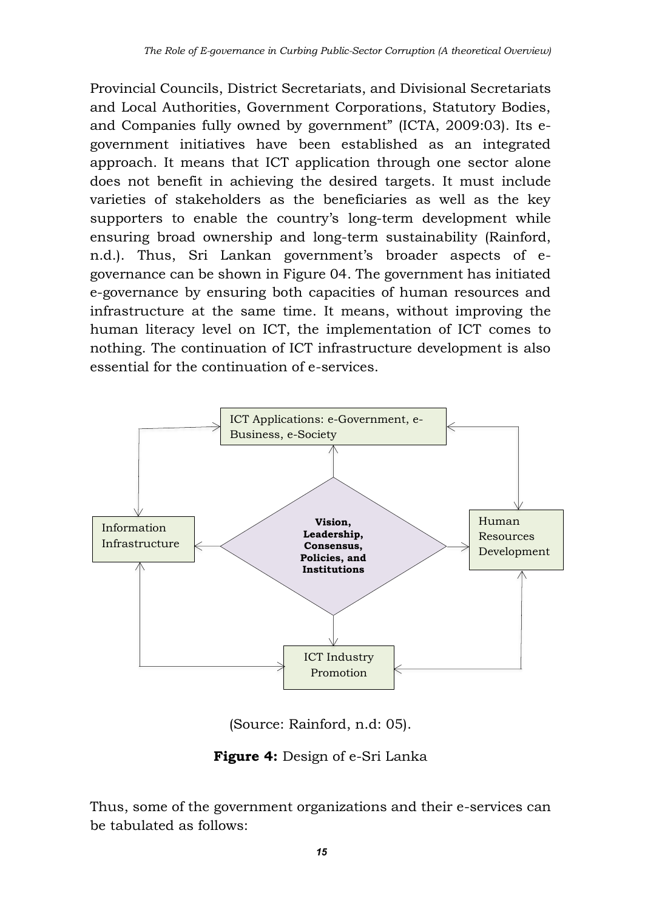Provincial Councils, District Secretariats, and Divisional Secretariats and Local Authorities, Government Corporations, Statutory Bodies, and Companies fully owned by government" (ICTA, 2009:03). Its egovernment initiatives have been established as an integrated approach. It means that ICT application through one sector alone does not benefit in achieving the desired targets. It must include varieties of stakeholders as the beneficiaries as well as the key supporters to enable the country's long-term development while ensuring broad ownership and long-term sustainability (Rainford, n.d.). Thus, Sri Lankan government's broader aspects of egovernance can be shown in Figure 04. The government has initiated e-governance by ensuring both capacities of human resources and infrastructure at the same time. It means, without improving the human literacy level on ICT, the implementation of ICT comes to nothing. The continuation of ICT infrastructure development is also essential for the continuation of e-services.



(Source: Rainford, n.d: 05).

**Figure 4:** Design of e-Sri Lanka

Thus, some of the government organizations and their e-services can be tabulated as follows: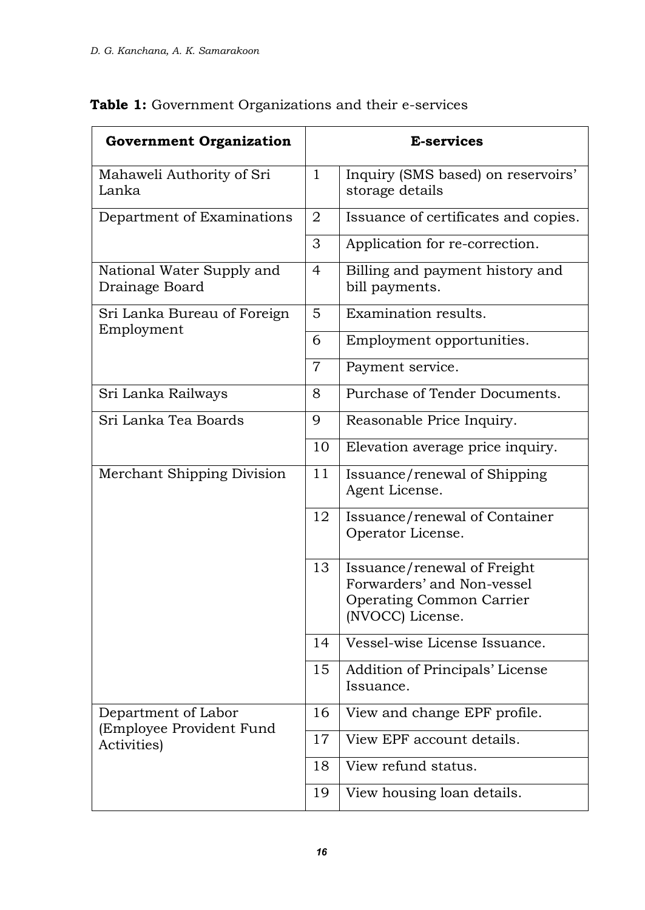| <b>Government Organization</b>              |                | <b>E-services</b>                                                                                                |  |  |
|---------------------------------------------|----------------|------------------------------------------------------------------------------------------------------------------|--|--|
| Mahaweli Authority of Sri<br>Lanka          | $\mathbf{1}$   | Inquiry (SMS based) on reservoirs'<br>storage details                                                            |  |  |
| Department of Examinations                  |                | Issuance of certificates and copies.                                                                             |  |  |
|                                             |                | Application for re-correction.                                                                                   |  |  |
| National Water Supply and<br>Drainage Board |                | Billing and payment history and<br>bill payments.                                                                |  |  |
| Sri Lanka Bureau of Foreign                 |                | Examination results.                                                                                             |  |  |
| Employment                                  | 6              | Employment opportunities.                                                                                        |  |  |
|                                             | $\overline{7}$ | Payment service.                                                                                                 |  |  |
| Sri Lanka Railways                          | 8              | Purchase of Tender Documents.                                                                                    |  |  |
| Sri Lanka Tea Boards                        | 9              | Reasonable Price Inquiry.                                                                                        |  |  |
|                                             | 10             | Elevation average price inquiry.                                                                                 |  |  |
| Merchant Shipping Division                  |                | Issuance/renewal of Shipping<br>Agent License.                                                                   |  |  |
|                                             |                | Issuance/renewal of Container<br>Operator License.                                                               |  |  |
|                                             | 13             | Issuance/renewal of Freight<br>Forwarders' and Non-vessel<br><b>Operating Common Carrier</b><br>(NVOCC) License. |  |  |
|                                             | 14             | Vessel-wise License Issuance.                                                                                    |  |  |
|                                             | 15             | Addition of Principals' License<br>Issuance.                                                                     |  |  |
| Department of Labor                         | 16             | View and change EPF profile.                                                                                     |  |  |
| (Employee Provident Fund<br>Activities)     | 17             | View EPF account details.                                                                                        |  |  |
|                                             | 18             | View refund status.                                                                                              |  |  |
|                                             | 19             | View housing loan details.                                                                                       |  |  |

## **Table 1:** Government Organizations and their e-services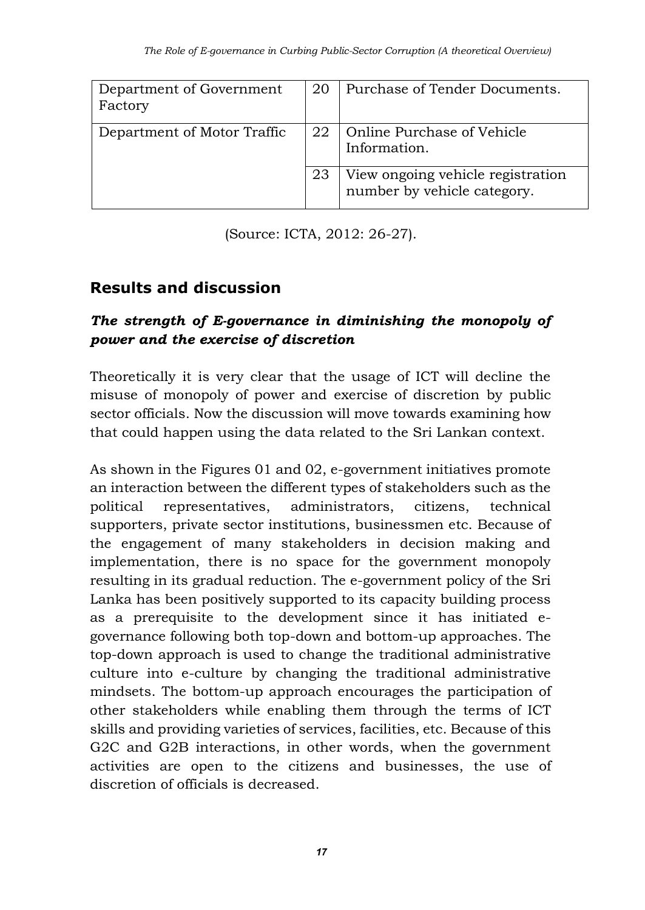| Department of Government<br>Factory | 20 | Purchase of Tender Documents.                                    |
|-------------------------------------|----|------------------------------------------------------------------|
| Department of Motor Traffic         | 22 | Online Purchase of Vehicle<br>Information.                       |
|                                     | 23 | View ongoing vehicle registration<br>number by vehicle category. |

(Source: ICTA, 2012: 26-27).

# **Results and discussion**

### *The strength of E-governance in diminishing the monopoly of power and the exercise of discretion*

Theoretically it is very clear that the usage of ICT will decline the misuse of monopoly of power and exercise of discretion by public sector officials. Now the discussion will move towards examining how that could happen using the data related to the Sri Lankan context.

As shown in the Figures 01 and 02, e-government initiatives promote an interaction between the different types of stakeholders such as the political representatives, administrators, citizens, technical supporters, private sector institutions, businessmen etc. Because of the engagement of many stakeholders in decision making and implementation, there is no space for the government monopoly resulting in its gradual reduction. The e-government policy of the Sri Lanka has been positively supported to its capacity building process as a prerequisite to the development since it has initiated egovernance following both top-down and bottom-up approaches. The top-down approach is used to change the traditional administrative culture into e-culture by changing the traditional administrative mindsets. The bottom-up approach encourages the participation of other stakeholders while enabling them through the terms of ICT skills and providing varieties of services, facilities, etc. Because of this G2C and G2B interactions, in other words, when the government activities are open to the citizens and businesses, the use of discretion of officials is decreased.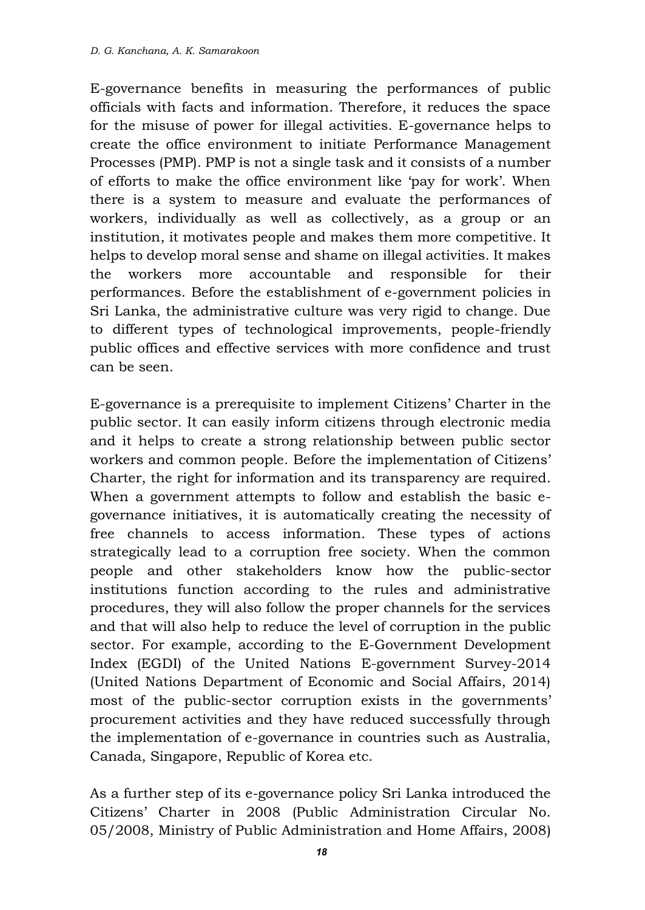E-governance benefits in measuring the performances of public officials with facts and information. Therefore, it reduces the space for the misuse of power for illegal activities. E-governance helps to create the office environment to initiate Performance Management Processes (PMP). PMP is not a single task and it consists of a number of efforts to make the office environment like 'pay for work'. When there is a system to measure and evaluate the performances of workers, individually as well as collectively, as a group or an institution, it motivates people and makes them more competitive. It helps to develop moral sense and shame on illegal activities. It makes the workers more accountable and responsible for their performances. Before the establishment of e-government policies in Sri Lanka, the administrative culture was very rigid to change. Due to different types of technological improvements, people-friendly public offices and effective services with more confidence and trust can be seen.

E-governance is a prerequisite to implement Citizens' Charter in the public sector. It can easily inform citizens through electronic media and it helps to create a strong relationship between public sector workers and common people. Before the implementation of Citizens' Charter, the right for information and its transparency are required. When a government attempts to follow and establish the basic egovernance initiatives, it is automatically creating the necessity of free channels to access information. These types of actions strategically lead to a corruption free society. When the common people and other stakeholders know how the public-sector institutions function according to the rules and administrative procedures, they will also follow the proper channels for the services and that will also help to reduce the level of corruption in the public sector. For example, according to the E-Government Development Index (EGDI) of the United Nations E-government Survey-2014 (United Nations Department of Economic and Social Affairs, 2014) most of the public-sector corruption exists in the governments' procurement activities and they have reduced successfully through the implementation of e-governance in countries such as Australia, Canada, Singapore, Republic of Korea etc.

As a further step of its e-governance policy Sri Lanka introduced the Citizens' Charter in 2008 (Public Administration Circular No. 05/2008, Ministry of Public Administration and Home Affairs, 2008)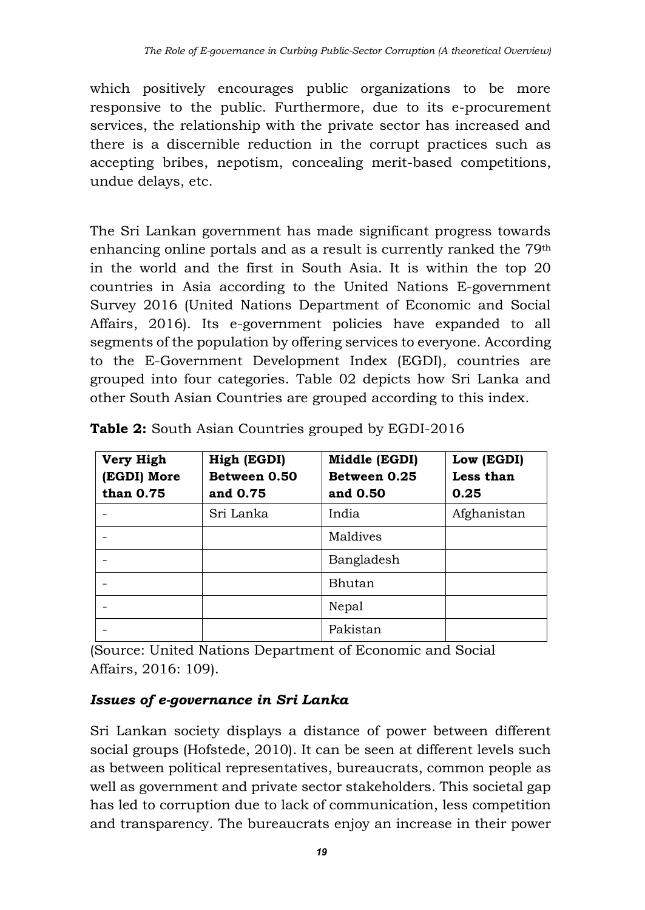which positively encourages public organizations to be more responsive to the public. Furthermore, due to its e-procurement services, the relationship with the private sector has increased and there is a discernible reduction in the corrupt practices such as accepting bribes, nepotism, concealing merit-based competitions, undue delays, etc.

The Sri Lankan government has made significant progress towards enhancing online portals and as a result is currently ranked the 79th in the world and the first in South Asia. It is within the top 20 countries in Asia according to the United Nations E-government Survey 2016 (United Nations Department of Economic and Social Affairs, 2016). Its e-government policies have expanded to all segments of the population by offering services to everyone. According to the E-Government Development Index (EGDI), countries are grouped into four categories. Table 02 depicts how Sri Lanka and other South Asian Countries are grouped according to this index.

| Very High<br><b>EGDI</b> ) More<br>than 0.75 | High (EGDI)<br>Between 0.50<br>and 0.75 | Middle (EGDI)<br>Between 0.25<br>and 0.50 | Low (EGDI)<br>Less than<br>0.25 |
|----------------------------------------------|-----------------------------------------|-------------------------------------------|---------------------------------|
|                                              | Sri Lanka                               | India                                     | Afghanistan                     |
|                                              |                                         | Maldives                                  |                                 |
|                                              |                                         | Bangladesh                                |                                 |
|                                              |                                         | Bhutan                                    |                                 |
|                                              |                                         | Nepal                                     |                                 |
|                                              |                                         | Pakistan                                  |                                 |

**Table 2:** South Asian Countries grouped by EGDI-2016

(Source: United Nations Department of Economic and Social Affairs, 2016: 109).

## *Issues of e-governance in Sri Lanka*

Sri Lankan society displays a distance of power between different social groups (Hofstede, 2010). It can be seen at different levels such as between political representatives, bureaucrats, common people as well as government and private sector stakeholders. This societal gap has led to corruption due to lack of communication, less competition and transparency. The bureaucrats enjoy an increase in their power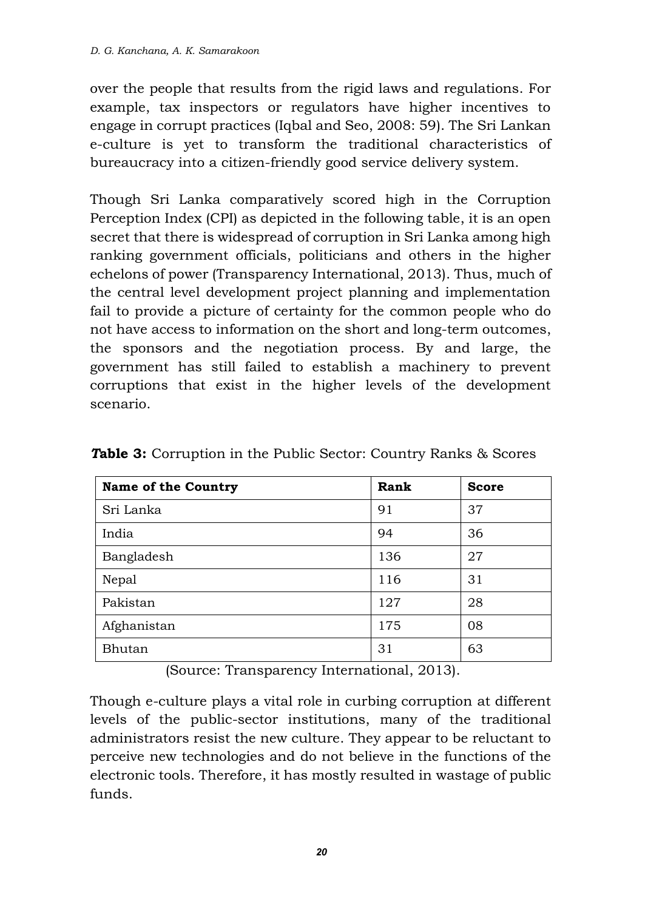over the people that results from the rigid laws and regulations. For example, tax inspectors or regulators have higher incentives to engage in corrupt practices (Iqbal and Seo, 2008: 59). The Sri Lankan e-culture is yet to transform the traditional characteristics of bureaucracy into a citizen-friendly good service delivery system.

Though Sri Lanka comparatively scored high in the Corruption Perception Index (CPI) as depicted in the following table, it is an open secret that there is widespread of corruption in Sri Lanka among high ranking government officials, politicians and others in the higher echelons of power (Transparency International, 2013). Thus, much of the central level development project planning and implementation fail to provide a picture of certainty for the common people who do not have access to information on the short and long-term outcomes, the sponsors and the negotiation process. By and large, the government has still failed to establish a machinery to prevent corruptions that exist in the higher levels of the development scenario.

| <b>Name of the Country</b> | Rank | <b>Score</b> |
|----------------------------|------|--------------|
| Sri Lanka                  | 91   | 37           |
| India                      | 94   | 36           |
| Bangladesh                 | 136  | 27           |
| Nepal                      | 116  | 31           |
| Pakistan                   | 127  | 28           |
| Afghanistan                | 175  | 08           |
| Bhutan                     | 31   | 63           |

*T***able 3:** Corruption in the Public Sector: Country Ranks & Scores

(Source: Transparency International, 2013).

Though e-culture plays a vital role in curbing corruption at different levels of the public-sector institutions, many of the traditional administrators resist the new culture. They appear to be reluctant to perceive new technologies and do not believe in the functions of the electronic tools. Therefore, it has mostly resulted in wastage of public funds.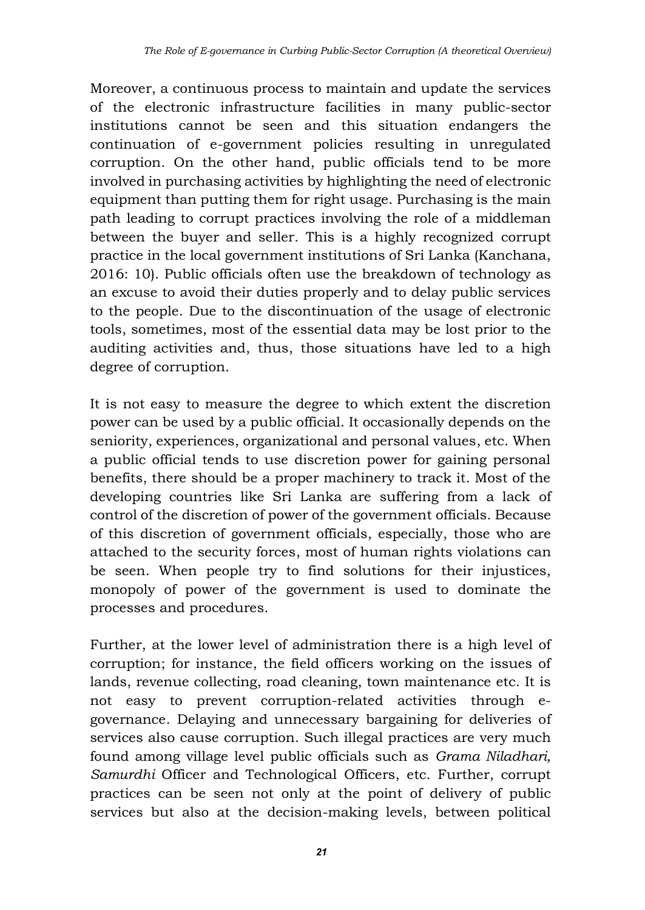Moreover, a continuous process to maintain and update the services of the electronic infrastructure facilities in many public-sector institutions cannot be seen and this situation endangers the continuation of e-government policies resulting in unregulated corruption. On the other hand, public officials tend to be more involved in purchasing activities by highlighting the need of electronic equipment than putting them for right usage. Purchasing is the main path leading to corrupt practices involving the role of a middleman between the buyer and seller. This is a highly recognized corrupt practice in the local government institutions of Sri Lanka (Kanchana, 2016: 10). Public officials often use the breakdown of technology as an excuse to avoid their duties properly and to delay public services to the people. Due to the discontinuation of the usage of electronic tools, sometimes, most of the essential data may be lost prior to the auditing activities and, thus, those situations have led to a high degree of corruption.

It is not easy to measure the degree to which extent the discretion power can be used by a public official. It occasionally depends on the seniority, experiences, organizational and personal values, etc. When a public official tends to use discretion power for gaining personal benefits, there should be a proper machinery to track it. Most of the developing countries like Sri Lanka are suffering from a lack of control of the discretion of power of the government officials. Because of this discretion of government officials, especially, those who are attached to the security forces, most of human rights violations can be seen. When people try to find solutions for their injustices, monopoly of power of the government is used to dominate the processes and procedures.

Further, at the lower level of administration there is a high level of corruption; for instance, the field officers working on the issues of lands, revenue collecting, road cleaning, town maintenance etc. It is not easy to prevent corruption-related activities through egovernance. Delaying and unnecessary bargaining for deliveries of services also cause corruption. Such illegal practices are very much found among village level public officials such as *Grama Niladhari, Samurdhi* Officer and Technological Officers, etc. Further, corrupt practices can be seen not only at the point of delivery of public services but also at the decision-making levels, between political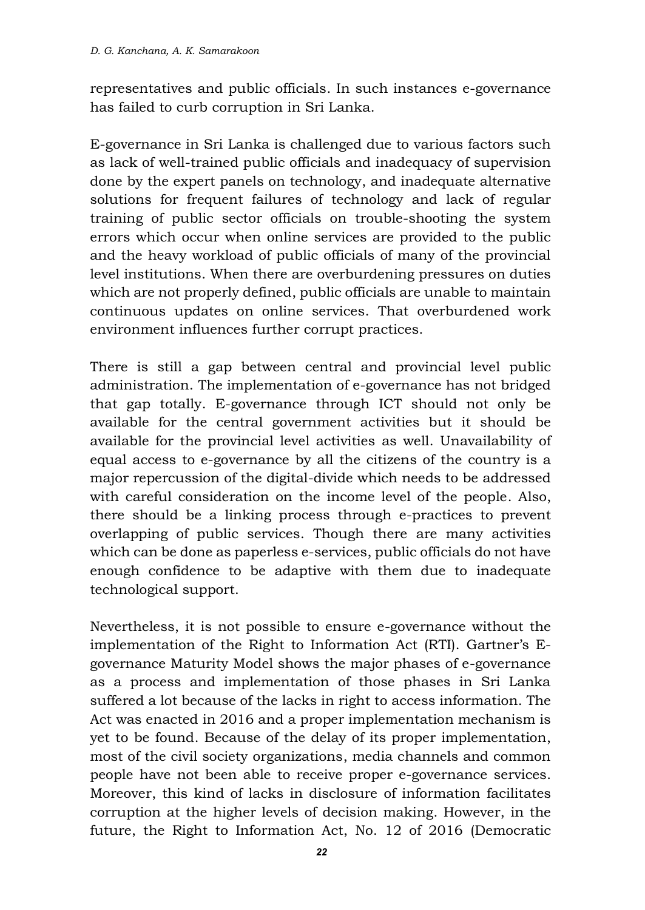representatives and public officials. In such instances e-governance has failed to curb corruption in Sri Lanka.

E-governance in Sri Lanka is challenged due to various factors such as lack of well-trained public officials and inadequacy of supervision done by the expert panels on technology, and inadequate alternative solutions for frequent failures of technology and lack of regular training of public sector officials on trouble-shooting the system errors which occur when online services are provided to the public and the heavy workload of public officials of many of the provincial level institutions. When there are overburdening pressures on duties which are not properly defined, public officials are unable to maintain continuous updates on online services. That overburdened work environment influences further corrupt practices.

There is still a gap between central and provincial level public administration. The implementation of e-governance has not bridged that gap totally. E-governance through ICT should not only be available for the central government activities but it should be available for the provincial level activities as well. Unavailability of equal access to e-governance by all the citizens of the country is a major repercussion of the digital-divide which needs to be addressed with careful consideration on the income level of the people. Also, there should be a linking process through e-practices to prevent overlapping of public services. Though there are many activities which can be done as paperless e-services, public officials do not have enough confidence to be adaptive with them due to inadequate technological support.

Nevertheless, it is not possible to ensure e-governance without the implementation of the Right to Information Act (RTI). Gartner's Egovernance Maturity Model shows the major phases of e-governance as a process and implementation of those phases in Sri Lanka suffered a lot because of the lacks in right to access information. The Act was enacted in 2016 and a proper implementation mechanism is yet to be found. Because of the delay of its proper implementation, most of the civil society organizations, media channels and common people have not been able to receive proper e-governance services. Moreover, this kind of lacks in disclosure of information facilitates corruption at the higher levels of decision making. However, in the future, the Right to Information Act, No. 12 of 2016 (Democratic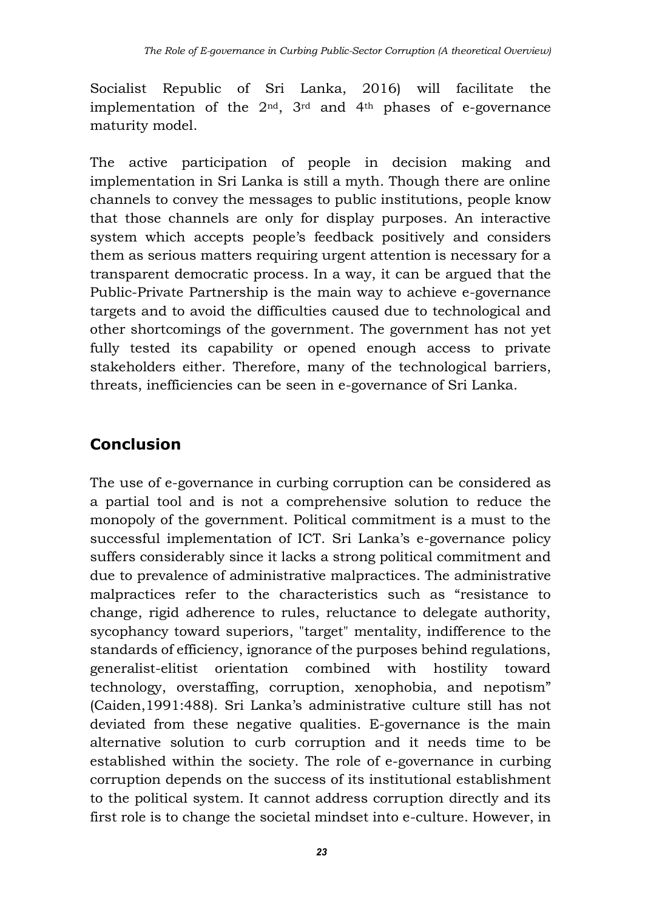Socialist Republic of Sri Lanka, 2016) will facilitate the implementation of the 2nd, 3rd and 4th phases of e-governance maturity model.

The active participation of people in decision making and implementation in Sri Lanka is still a myth. Though there are online channels to convey the messages to public institutions, people know that those channels are only for display purposes. An interactive system which accepts people's feedback positively and considers them as serious matters requiring urgent attention is necessary for a transparent democratic process. In a way, it can be argued that the Public-Private Partnership is the main way to achieve e-governance targets and to avoid the difficulties caused due to technological and other shortcomings of the government. The government has not yet fully tested its capability or opened enough access to private stakeholders either. Therefore, many of the technological barriers, threats, inefficiencies can be seen in e-governance of Sri Lanka.

# **Conclusion**

The use of e-governance in curbing corruption can be considered as a partial tool and is not a comprehensive solution to reduce the monopoly of the government. Political commitment is a must to the successful implementation of ICT. Sri Lanka's e-governance policy suffers considerably since it lacks a strong political commitment and due to prevalence of administrative malpractices. The administrative malpractices refer to the characteristics such as "resistance to change, rigid adherence to rules, reluctance to delegate authority, sycophancy toward superiors, "target" mentality, indifference to the standards of efficiency, ignorance of the purposes behind regulations, generalist-elitist orientation combined with hostility toward technology, overstaffing, corruption, xenophobia, and nepotism" (Caiden,1991:488). Sri Lanka's administrative culture still has not deviated from these negative qualities. E-governance is the main alternative solution to curb corruption and it needs time to be established within the society. The role of e-governance in curbing corruption depends on the success of its institutional establishment to the political system. It cannot address corruption directly and its first role is to change the societal mindset into e-culture. However, in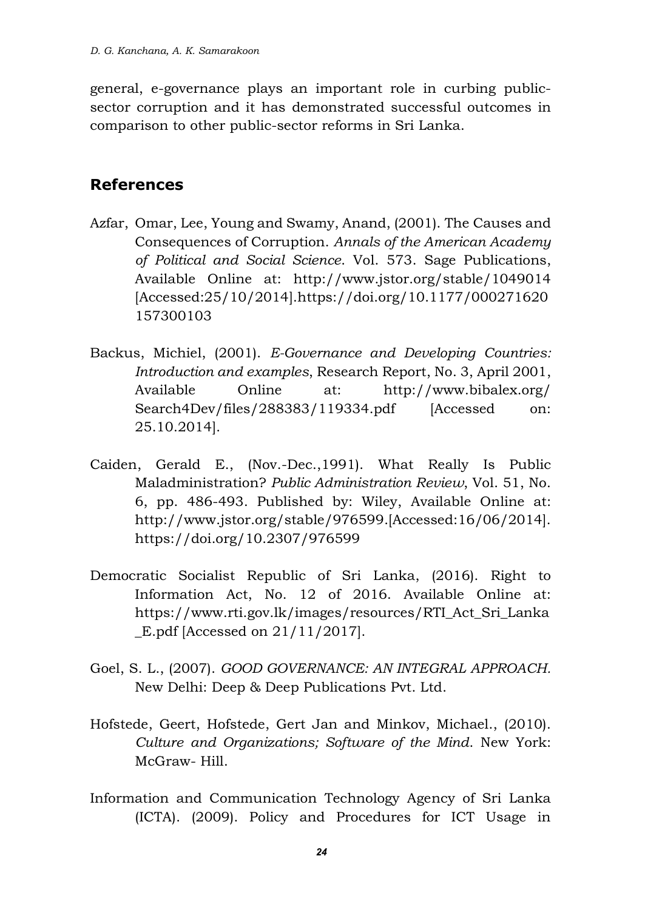general, e-governance plays an important role in curbing publicsector corruption and it has demonstrated successful outcomes in comparison to other public-sector reforms in Sri Lanka.

## **References**

- Azfar, Omar, Lee, Young and Swamy, Anand, (2001). The Causes and Consequences of Corruption. *Annals of the American Academy of Political and Social Science*. Vol. 573. Sage Publications, Available Online at: http://www.jstor.org/stable/1049014 [Accessed:25/10/2014][.https://doi.org/10.1177/000271620](https://doi.org/10.1177/000271620) 157300103
- Backus, Michiel, (2001). *E-Governance and Developing Countries: Introduction and examples*, Research Report, No. 3, April 2001, Available Online at: <http://www.bibalex.org/> Search4Dev/files/288383/119334.pdf [Accessed on: 25.10.2014].
- Caiden, Gerald E., (Nov.-Dec.,1991). What Really Is Public Maladministration? *Public Administration Review*, Vol. 51, No. 6, pp. 486-493. Published by: Wiley, Available Online at: http://www.jstor.org/stable/976599.[Accessed:16/06/2014]. https://doi.org/10.2307/976599
- Democratic Socialist Republic of Sri Lanka, (2016). Right to Information Act, No. 12 of 2016. Available Online at: https://www.rti.gov.lk/images/resources/RTI\_Act\_Sri\_Lanka \_E.pdf [Accessed on 21/11/2017].
- Goel, S. L., (2007). *GOOD GOVERNANCE: AN INTEGRAL APPROACH.* New Delhi: Deep & Deep Publications Pvt. Ltd.
- Hofstede, Geert, Hofstede, Gert Jan and Minkov, Michael., (2010). *Culture and Organizations; Software of the Mind*. New York: McGraw- Hill.
- Information and Communication Technology Agency of Sri Lanka (ICTA). (2009). Policy and Procedures for ICT Usage in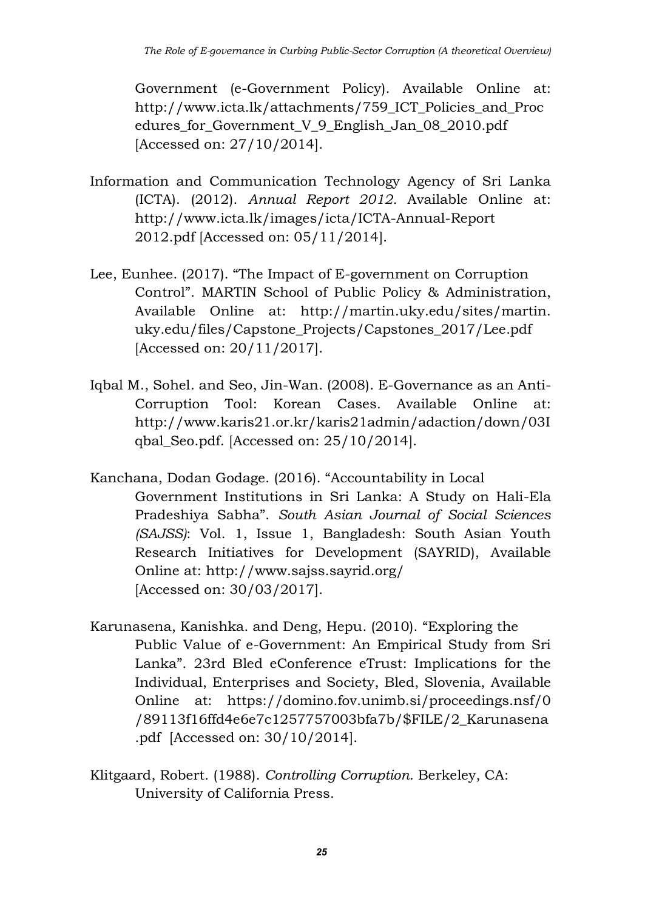Government (e-Government Policy). Available Online at: http://www.icta.lk/attachments/759\_ICT\_Policies\_and\_Proc edures for Government V 9 English Jan 08 2010.pdf [Accessed on: 27/10/2014].

- Information and Communication Technology Agency of Sri Lanka (ICTA). (2012). *Annual Report 2012.* Available Online at: http://www.icta.lk/images/icta/ICTA-Annual-Report 2012.pdf [Accessed on: 05/11/2014].
- Lee, Eunhee. (2017). "The Impact of E-government on Corruption Control". MARTIN School of Public Policy & Administration, Available Online at: [http://martin.uky.edu/sites/martin.](http://martin.uky.edu/sites/martin.%20uky.edu/files/Capstone_Projects/Capstones_2017/Lee.pdf) [uky.edu/files/Capstone\\_Projects/Capstones\\_2017/Lee.pdf](http://martin.uky.edu/sites/martin.%20uky.edu/files/Capstone_Projects/Capstones_2017/Lee.pdf) [Accessed on: 20/11/2017].
- Iqbal M., Sohel. and Seo, Jin-Wan. (2008). E-Governance as an Anti-Corruption Tool: Korean Cases*.* Available Online at: [http://www.karis21.or.kr/karis21admin/adaction/down/03I](http://www.karis21.or.kr/karis21admin/adaction/down/03Iqbal_Seo.pdf) [qbal\\_Seo.pdf.](http://www.karis21.or.kr/karis21admin/adaction/down/03Iqbal_Seo.pdf) [Accessed on: 25/10/2014].
- Kanchana, Dodan Godage. (2016). "Accountability in Local Government Institutions in Sri Lanka: A Study on Hali-Ela Pradeshiya Sabha". *South Asian Journal of Social Sciences (SAJSS)*: Vol. 1, Issue 1, Bangladesh: South Asian Youth Research Initiatives for Development (SAYRID), Available Online at: <http://www.sajss.sayrid.org/> [Accessed on: 30/03/2017].
- Karunasena, Kanishka. and Deng, Hepu. (2010). "Exploring the Public Value of e-Government: An Empirical Study from Sri Lanka". 23rd Bled eConference eTrust: Implications for the Individual, Enterprises and Society, Bled, Slovenia, Available Online at: [https://domino.fov.unimb.si/proceedings.nsf/0](https://domino.fov.unimb.si/proceedings.nsf/0%20/89113f16ffd4e6e7c1257757003bfa7b/$FILE/2_Karunasena.pdf) [/89113f16ffd4e6e7c1257757003bfa7b/\\$FILE/2\\_Karunasena](https://domino.fov.unimb.si/proceedings.nsf/0%20/89113f16ffd4e6e7c1257757003bfa7b/$FILE/2_Karunasena.pdf) [.pdf](https://domino.fov.unimb.si/proceedings.nsf/0%20/89113f16ffd4e6e7c1257757003bfa7b/$FILE/2_Karunasena.pdf) [Accessed on: 30/10/2014].
- Klitgaard, Robert. (1988). *Controlling Corruption*. Berkeley, CA: University of California Press.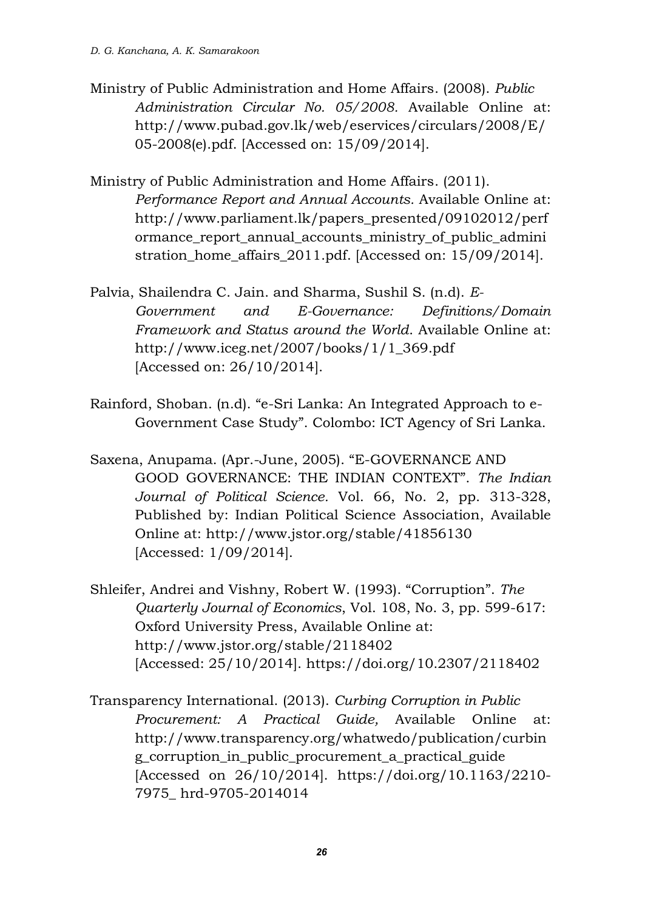- Ministry of Public Administration and Home Affairs. (2008). *Public Administration Circular No. 05/2008.* Available Online at: [http://www.pubad.gov.lk/web/eservices/circulars/2008/E/](http://www.pubad.gov.lk/web/eservices/circulars/2008/E/05-2008(e).pdf) [05-2008\(e\).pdf.](http://www.pubad.gov.lk/web/eservices/circulars/2008/E/05-2008(e).pdf) [Accessed on: 15/09/2014].
- Ministry of Public Administration and Home Affairs. (2011). *Performance Report and Annual Accounts.* Available Online at: [http://www.parliament.lk/papers\\_presented/09102012/perf](http://www.parliament.lk/papers_presented/09102012/performance_report_annual_accounts_ministry_of_public_administration_home_affairs_2011.pdf) [ormance\\_report\\_annual\\_accounts\\_ministry\\_of\\_public\\_admini](http://www.parliament.lk/papers_presented/09102012/performance_report_annual_accounts_ministry_of_public_administration_home_affairs_2011.pdf) [stration\\_home\\_affairs\\_2011.pdf.](http://www.parliament.lk/papers_presented/09102012/performance_report_annual_accounts_ministry_of_public_administration_home_affairs_2011.pdf) [Accessed on: 15/09/2014].
- Palvia, Shailendra C. Jain. and Sharma, Sushil S. (n.d). *E-Government and E-Governance: Definitions/Domain Framework and Status around the World*. Available Online at: [http://www.iceg.net/2007/books/1/1\\_369.pdf](http://www.iceg.net/2007/books/1/1_369.pdf) [Accessed on: 26/10/2014].
- Rainford, Shoban. (n.d). "e-Sri Lanka: An Integrated Approach to e-Government Case Study". Colombo: ICT Agency of Sri Lanka.
- Saxena, Anupama. (Apr.-June, 2005). "E-GOVERNANCE AND GOOD GOVERNANCE: THE INDIAN CONTEXT". *The Indian Journal of Political Science.* Vol. 66, No. 2, pp. 313-328, Published by: Indian Political Science Association, Available Online at:<http://www.jstor.org/stable/41856130> [Accessed: 1/09/2014].
- Shleifer, Andrei and Vishny, Robert W. (1993). "Corruption". *The Quarterly Journal of Economics*, Vol. 108, No. 3, pp. 599-617: Oxford University Press, Available Online at: <http://www.jstor.org/stable/2118402> [Accessed: 25/10/2014]. <https://doi.org/10.2307/2118402>
- Transparency International. (2013). *Curbing Corruption in Public Procurement: A Practical Guide,* Available Online at: [http://www.transparency.org/whatwedo/publication/curbin](http://www.transparency.org/whatwedo/publication/curbing_corruption_in_public_procurement_a_practical_guide) [g\\_corruption\\_in\\_public\\_procurement\\_a\\_practical\\_guide](http://www.transparency.org/whatwedo/publication/curbing_corruption_in_public_procurement_a_practical_guide) [Accessed on 26/10/2014]. [https://doi.org/10.1163/2](https://doi.org/10.1163/)210- 7975\_ hrd-9705-2014014